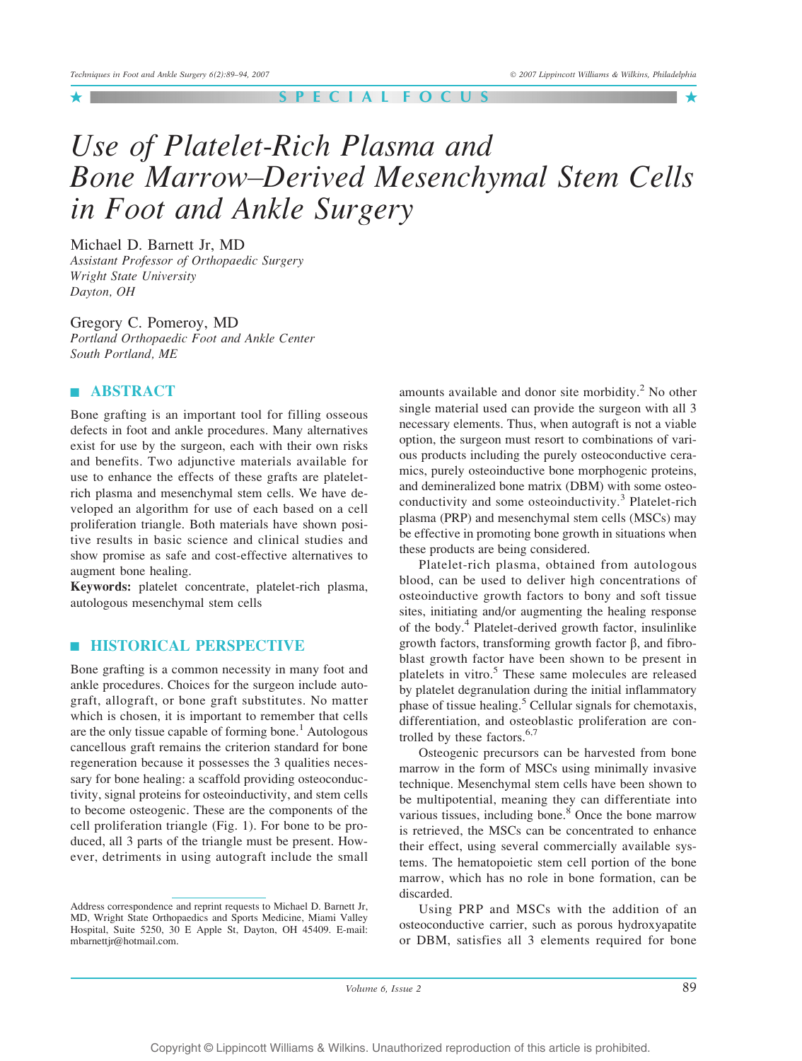$\star$  . SPECIAL FOCUS

# Use of Platelet-Rich Plasma and Bone Marrow-Derived Mesenchymal Stem Cells in Foot and Ankle Surgery

Michael D. Barnett Jr, MD Assistant Professor of Orthopaedic Surgery Wright State University Dayton, OH

Gregory C. Pomeroy, MD Portland Orthopaedic Foot and Ankle Center South Portland, ME

## **BIRACT**

Bone grafting is an important tool for filling osseous defects in foot and ankle procedures. Many alternatives exist for use by the surgeon, each with their own risks and benefits. Two adjunctive materials available for use to enhance the effects of these grafts are plateletrich plasma and mesenchymal stem cells. We have developed an algorithm for use of each based on a cell proliferation triangle. Both materials have shown positive results in basic science and clinical studies and show promise as safe and cost-effective alternatives to augment bone healing.

Keywords: platelet concentrate, platelet-rich plasma, autologous mesenchymal stem cells

#### **E HISTORICAL PERSPECTIVE**

Bone grafting is a common necessity in many foot and ankle procedures. Choices for the surgeon include autograft, allograft, or bone graft substitutes. No matter which is chosen, it is important to remember that cells are the only tissue capable of forming bone.<sup>1</sup> Autologous cancellous graft remains the criterion standard for bone regeneration because it possesses the 3 qualities necessary for bone healing: a scaffold providing osteoconductivity, signal proteins for osteoinductivity, and stem cells to become osteogenic. These are the components of the cell proliferation triangle (Fig. 1). For bone to be produced, all 3 parts of the triangle must be present. However, detriments in using autograft include the small

amounts available and donor site morbidity. $^2$  No other single material used can provide the surgeon with all 3 necessary elements. Thus, when autograft is not a viable option, the surgeon must resort to combinations of various products including the purely osteoconductive ceramics, purely osteoinductive bone morphogenic proteins, and demineralized bone matrix (DBM) with some osteoconductivity and some osteoinductivity.<sup>3</sup> Platelet-rich plasma (PRP) and mesenchymal stem cells (MSCs) may be effective in promoting bone growth in situations when these products are being considered.

Platelet-rich plasma, obtained from autologous blood, can be used to deliver high concentrations of osteoinductive growth factors to bony and soft tissue sites, initiating and/or augmenting the healing response of the body.<sup>4</sup> Platelet-derived growth factor, insulinlike growth factors, transforming growth factor  $\beta$ , and fibroblast growth factor have been shown to be present in platelets in vitro. $5$  These same molecules are released by platelet degranulation during the initial inflammatory phase of tissue healing. $5$  Cellular signals for chemotaxis, differentiation, and osteoblastic proliferation are controlled by these factors.<sup>6,7</sup>

Osteogenic precursors can be harvested from bone marrow in the form of MSCs using minimally invasive technique. Mesenchymal stem cells have been shown to be multipotential, meaning they can differentiate into various tissues, including bone.<sup>8</sup> Once the bone marrow is retrieved, the MSCs can be concentrated to enhance their effect, using several commercially available systems. The hematopoietic stem cell portion of the bone marrow, which has no role in bone formation, can be discarded.

Using PRP and MSCs with the addition of an osteoconductive carrier, such as porous hydroxyapatite or DBM, satisfies all 3 elements required for bone

Volume 6, Issue 2 89

Address correspondence and reprint requests to Michael D. Barnett Jr, MD, Wright State Orthopaedics and Sports Medicine, Miami Valley Hospital, Suite 5250, 30 E Apple St, Dayton, OH 45409. E-mail: mbarnettjr@hotmail.com.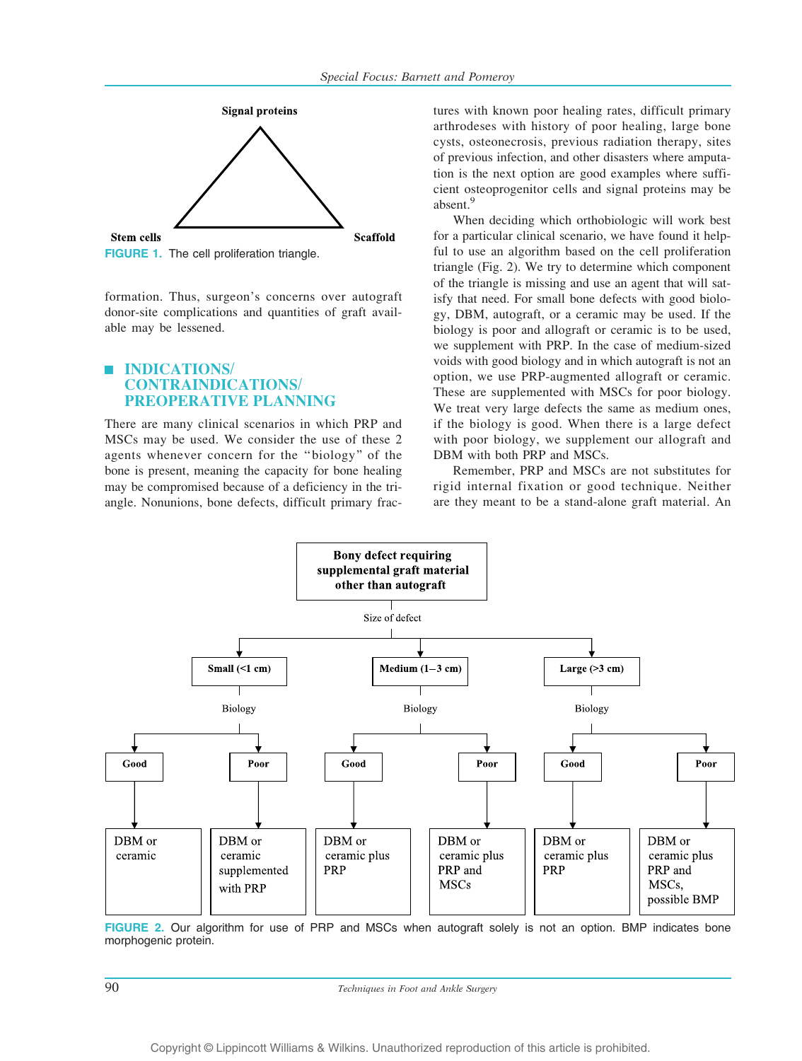

FIGURE 1. The cell proliferation triangle.

formation. Thus, surgeon's concerns over autograft donor-site complications and quantities of graft available may be lessened.

## | INDICATIONS/ CONTRAINDICATIONS/ PREOPERATIVE PLANNING

There are many clinical scenarios in which PRP and MSCs may be used. We consider the use of these 2 agents whenever concern for the ''biology^ of the bone is present, meaning the capacity for bone healing may be compromised because of a deficiency in the triangle. Nonunions, bone defects, difficult primary fractures with known poor healing rates, difficult primary arthrodeses with history of poor healing, large bone cysts, osteonecrosis, previous radiation therapy, sites of previous infection, and other disasters where amputation is the next option are good examples where sufficient osteoprogenitor cells and signal proteins may be absent.<sup>9</sup>

When deciding which orthobiologic will work best for a particular clinical scenario, we have found it helpful to use an algorithm based on the cell proliferation triangle (Fig. 2). We try to determine which component of the triangle is missing and use an agent that will satisfy that need. For small bone defects with good biology, DBM, autograft, or a ceramic may be used. If the biology is poor and allograft or ceramic is to be used, we supplement with PRP. In the case of medium-sized voids with good biology and in which autograft is not an option, we use PRP-augmented allograft or ceramic. These are supplemented with MSCs for poor biology. We treat very large defects the same as medium ones, if the biology is good. When there is a large defect with poor biology, we supplement our allograft and DBM with both PRP and MSCs.

Remember, PRP and MSCs are not substitutes for rigid internal fixation or good technique. Neither are they meant to be a stand-alone graft material. An



FIGURE 2. Our algorithm for use of PRP and MSCs when autograft solely is not an option. BMP indicates bone morphogenic protein.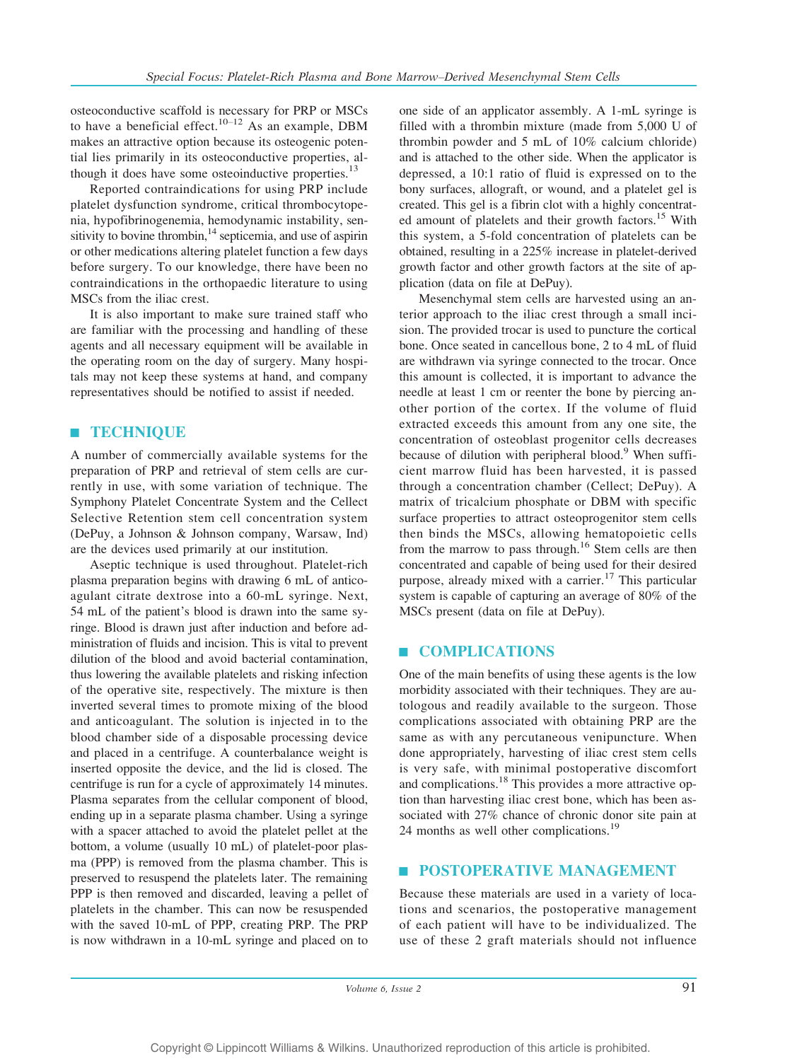osteoconductive scaffold is necessary for PRP or MSCs to have a beneficial effect.<sup>10-12</sup> As an example, DBM makes an attractive option because its osteogenic potential lies primarily in its osteoconductive properties, although it does have some osteoinductive properties.<sup>13</sup>

Reported contraindications for using PRP include platelet dysfunction syndrome, critical thrombocytopenia, hypofibrinogenemia, hemodynamic instability, sensitivity to bovine thrombin, $^{14}$  septicemia, and use of aspirin or other medications altering platelet function a few days before surgery. To our knowledge, there have been no contraindications in the orthopaedic literature to using MSCs from the iliac crest.

It is also important to make sure trained staff who are familiar with the processing and handling of these agents and all necessary equipment will be available in the operating room on the day of surgery. Many hospitals may not keep these systems at hand, and company representatives should be notified to assist if needed.

## | TECHNIQUE

A number of commercially available systems for the preparation of PRP and retrieval of stem cells are currently in use, with some variation of technique. The Symphony Platelet Concentrate System and the Cellect Selective Retention stem cell concentration system (DePuy, a Johnson & Johnson company, Warsaw, Ind) are the devices used primarily at our institution.

Aseptic technique is used throughout. Platelet-rich plasma preparation begins with drawing 6 mL of anticoagulant citrate dextrose into a 60-mL syringe. Next, 54 mL of the patient's blood is drawn into the same syringe. Blood is drawn just after induction and before administration of fluids and incision. This is vital to prevent dilution of the blood and avoid bacterial contamination, thus lowering the available platelets and risking infection of the operative site, respectively. The mixture is then inverted several times to promote mixing of the blood and anticoagulant. The solution is injected in to the blood chamber side of a disposable processing device and placed in a centrifuge. A counterbalance weight is inserted opposite the device, and the lid is closed. The centrifuge is run for a cycle of approximately 14 minutes. Plasma separates from the cellular component of blood, ending up in a separate plasma chamber. Using a syringe with a spacer attached to avoid the platelet pellet at the bottom, a volume (usually 10 mL) of platelet-poor plasma (PPP) is removed from the plasma chamber. This is preserved to resuspend the platelets later. The remaining PPP is then removed and discarded, leaving a pellet of platelets in the chamber. This can now be resuspended with the saved 10-mL of PPP, creating PRP. The PRP is now withdrawn in a 10-mL syringe and placed on to one side of an applicator assembly. A 1-mL syringe is filled with a thrombin mixture (made from 5,000 U of thrombin powder and 5 mL of 10% calcium chloride) and is attached to the other side. When the applicator is depressed, a 10:1 ratio of fluid is expressed on to the bony surfaces, allograft, or wound, and a platelet gel is created. This gel is a fibrin clot with a highly concentrated amount of platelets and their growth factors.<sup>15</sup> With this system, a 5-fold concentration of platelets can be obtained, resulting in a 225% increase in platelet-derived growth factor and other growth factors at the site of application (data on file at DePuy).

Mesenchymal stem cells are harvested using an anterior approach to the iliac crest through a small incision. The provided trocar is used to puncture the cortical bone. Once seated in cancellous bone, 2 to 4 mL of fluid are withdrawn via syringe connected to the trocar. Once this amount is collected, it is important to advance the needle at least 1 cm or reenter the bone by piercing another portion of the cortex. If the volume of fluid extracted exceeds this amount from any one site, the concentration of osteoblast progenitor cells decreases because of dilution with peripheral blood. $9$  When sufficient marrow fluid has been harvested, it is passed through a concentration chamber (Cellect; DePuy). A matrix of tricalcium phosphate or DBM with specific surface properties to attract osteoprogenitor stem cells then binds the MSCs, allowing hematopoietic cells from the marrow to pass through.<sup>16</sup> Stem cells are then concentrated and capable of being used for their desired purpose, already mixed with a carrier.<sup>17</sup> This particular system is capable of capturing an average of 80% of the MSCs present (data on file at DePuy).

## | COMPLICATIONS

One of the main benefits of using these agents is the low morbidity associated with their techniques. They are autologous and readily available to the surgeon. Those complications associated with obtaining PRP are the same as with any percutaneous venipuncture. When done appropriately, harvesting of iliac crest stem cells is very safe, with minimal postoperative discomfort and complications.<sup>18</sup> This provides a more attractive option than harvesting iliac crest bone, which has been associated with 27% chance of chronic donor site pain at 24 months as well other complications.<sup>19</sup>

## **E POSTOPERATIVE MANAGEMENT**

Because these materials are used in a variety of locations and scenarios, the postoperative management of each patient will have to be individualized. The use of these 2 graft materials should not influence

 $Volume\ 6, Issue\ 2$  91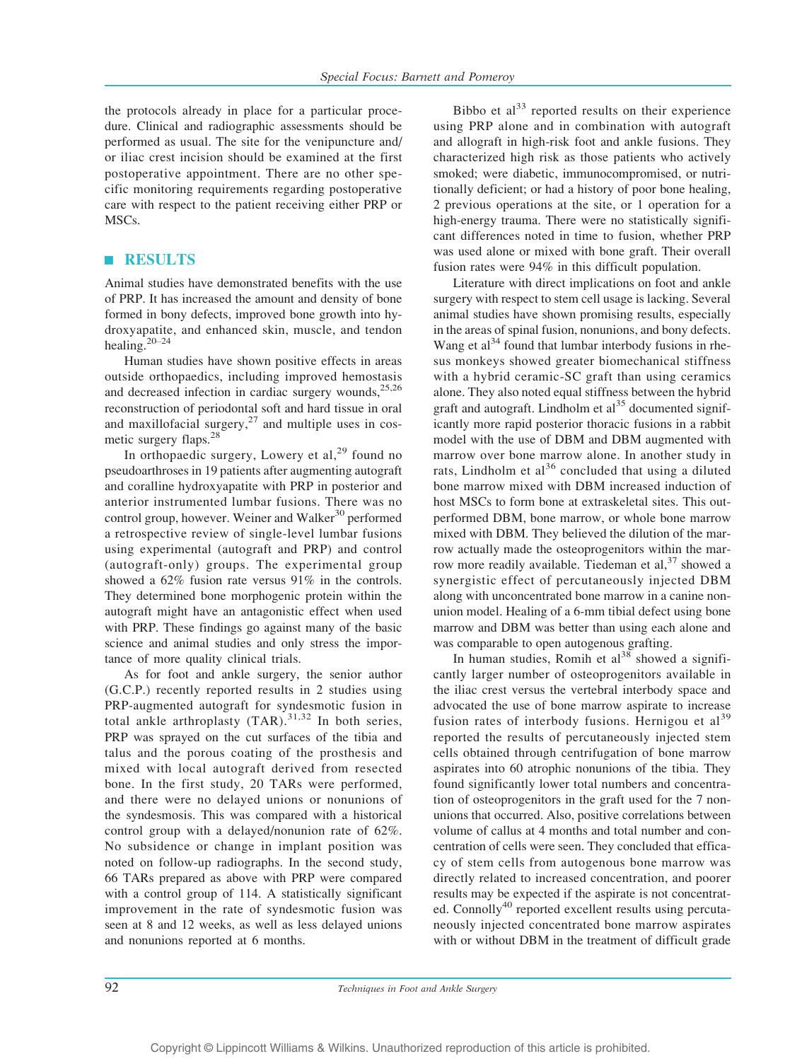the protocols already in place for a particular procedure. Clinical and radiographic assessments should be performed as usual. The site for the venipuncture and/ or iliac crest incision should be examined at the first postoperative appointment. There are no other specific monitoring requirements regarding postoperative care with respect to the patient receiving either PRP or MSCs.

## | RESULTS

Animal studies have demonstrated benefits with the use of PRP. It has increased the amount and density of bone formed in bony defects, improved bone growth into hydroxyapatite, and enhanced skin, muscle, and tendon healing. $20-24$ 

Human studies have shown positive effects in areas outside orthopaedics, including improved hemostasis and decreased infection in cardiac surgery wounds, $^{25,26}$ reconstruction of periodontal soft and hard tissue in oral and maxillofacial surgery, $27$  and multiple uses in cosmetic surgery flaps.<sup>28</sup>

In orthopaedic surgery, Lowery et  $al<sub>1</sub><sup>29</sup>$  found no pseudoarthroses in 19 patients after augmenting autograft and coralline hydroxyapatite with PRP in posterior and anterior instrumented lumbar fusions. There was no control group, however. Weiner and Walker<sup>30</sup> performed a retrospective review of single-level lumbar fusions using experimental (autograft and PRP) and control (autograft-only) groups. The experimental group showed a 62% fusion rate versus 91% in the controls. They determined bone morphogenic protein within the autograft might have an antagonistic effect when used with PRP. These findings go against many of the basic science and animal studies and only stress the importance of more quality clinical trials.

As for foot and ankle surgery, the senior author (G.C.P.) recently reported results in 2 studies using PRP-augmented autograft for syndesmotic fusion in total ankle arthroplasty  $(TAR)$ .<sup>31,32</sup> In both series, PRP was sprayed on the cut surfaces of the tibia and talus and the porous coating of the prosthesis and mixed with local autograft derived from resected bone. In the first study, 20 TARs were performed, and there were no delayed unions or nonunions of the syndesmosis. This was compared with a historical control group with a delayed/nonunion rate of 62%. No subsidence or change in implant position was noted on follow-up radiographs. In the second study, 66 TARs prepared as above with PRP were compared with a control group of 114. A statistically significant improvement in the rate of syndesmotic fusion was seen at 8 and 12 weeks, as well as less delayed unions and nonunions reported at 6 months.

Bibbo et  $al^{33}$  reported results on their experience using PRP alone and in combination with autograft and allograft in high-risk foot and ankle fusions. They characterized high risk as those patients who actively smoked; were diabetic, immunocompromised, or nutritionally deficient; or had a history of poor bone healing, 2 previous operations at the site, or 1 operation for a high-energy trauma. There were no statistically significant differences noted in time to fusion, whether PRP was used alone or mixed with bone graft. Their overall fusion rates were 94% in this difficult population.

Literature with direct implications on foot and ankle surgery with respect to stem cell usage is lacking. Several animal studies have shown promising results, especially in the areas of spinal fusion, nonunions, and bony defects. Wang et  $al<sup>34</sup>$  found that lumbar interbody fusions in rhesus monkeys showed greater biomechanical stiffness with a hybrid ceramic-SC graft than using ceramics alone. They also noted equal stiffness between the hybrid graft and autograft. Lindholm et  $al<sup>35</sup>$  documented significantly more rapid posterior thoracic fusions in a rabbit model with the use of DBM and DBM augmented with marrow over bone marrow alone. In another study in rats, Lindholm et al<sup>36</sup> concluded that using a diluted bone marrow mixed with DBM increased induction of host MSCs to form bone at extraskeletal sites. This outperformed DBM, bone marrow, or whole bone marrow mixed with DBM. They believed the dilution of the marrow actually made the osteoprogenitors within the marrow more readily available. Tiedeman et al,<sup>37</sup> showed a synergistic effect of percutaneously injected DBM along with unconcentrated bone marrow in a canine nonunion model. Healing of a 6-mm tibial defect using bone marrow and DBM was better than using each alone and was comparable to open autogenous grafting.

In human studies, Romih et  $al^{38}$  showed a significantly larger number of osteoprogenitors available in the iliac crest versus the vertebral interbody space and advocated the use of bone marrow aspirate to increase fusion rates of interbody fusions. Hernigou et  $al<sup>39</sup>$ reported the results of percutaneously injected stem cells obtained through centrifugation of bone marrow aspirates into 60 atrophic nonunions of the tibia. They found significantly lower total numbers and concentration of osteoprogenitors in the graft used for the 7 nonunions that occurred. Also, positive correlations between volume of callus at 4 months and total number and concentration of cells were seen. They concluded that efficacy of stem cells from autogenous bone marrow was directly related to increased concentration, and poorer results may be expected if the aspirate is not concentrated. Connolly<sup>40</sup> reported excellent results using percutaneously injected concentrated bone marrow aspirates with or without DBM in the treatment of difficult grade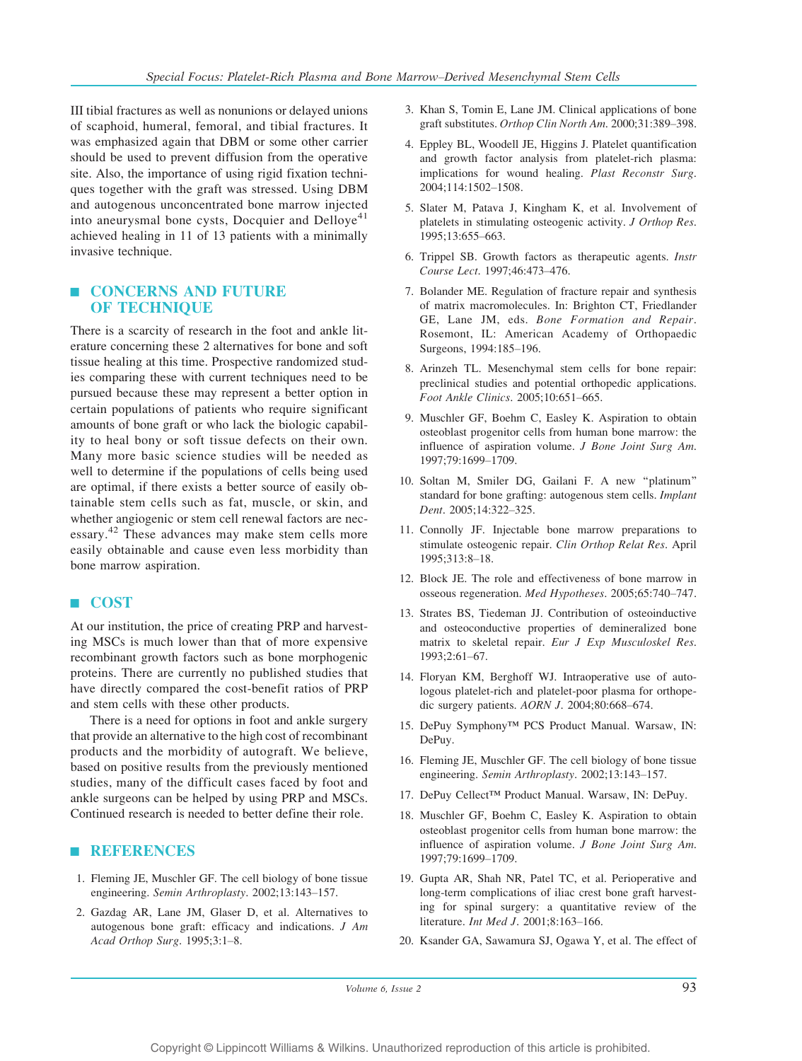III tibial fractures as well as nonunions or delayed unions of scaphoid, humeral, femoral, and tibial fractures. It was emphasized again that DBM or some other carrier should be used to prevent diffusion from the operative site. Also, the importance of using rigid fixation techniques together with the graft was stressed. Using DBM and autogenous unconcentrated bone marrow injected into aneurysmal bone cysts, Docquier and Delloye<sup>41</sup> achieved healing in 11 of 13 patients with a minimally invasive technique.

#### **EX CONCERNS AND FUTURE** OF TECHNIQUE

There is a scarcity of research in the foot and ankle literature concerning these 2 alternatives for bone and soft tissue healing at this time. Prospective randomized studies comparing these with current techniques need to be pursued because these may represent a better option in certain populations of patients who require significant amounts of bone graft or who lack the biologic capability to heal bony or soft tissue defects on their own. Many more basic science studies will be needed as well to determine if the populations of cells being used are optimal, if there exists a better source of easily obtainable stem cells such as fat, muscle, or skin, and whether angiogenic or stem cell renewal factors are necessary.<sup>42</sup> These advances may make stem cells more easily obtainable and cause even less morbidity than bone marrow aspiration.

## | COST

At our institution, the price of creating PRP and harvesting MSCs is much lower than that of more expensive recombinant growth factors such as bone morphogenic proteins. There are currently no published studies that have directly compared the cost-benefit ratios of PRP and stem cells with these other products.

There is a need for options in foot and ankle surgery that provide an alternative to the high cost of recombinant products and the morbidity of autograft. We believe, based on positive results from the previously mentioned studies, many of the difficult cases faced by foot and ankle surgeons can be helped by using PRP and MSCs. Continued research is needed to better define their role.

#### **ENGERVERS**

- 1. Fleming JE, Muschler GF. The cell biology of bone tissue engineering. Semin Arthroplasty. 2002;13:143-157.
- 2. Gazdag AR, Lane JM, Glaser D, et al. Alternatives to autogenous bone graft: efficacy and indications. J Am Acad Orthop Surg. 1995;3:1-8.
- 3. Khan S, Tomin E, Lane JM. Clinical applications of bone graft substitutes. Orthop Clin North Am. 2000;31:389-398.
- 4. Eppley BL, Woodell JE, Higgins J. Platelet quantification and growth factor analysis from platelet-rich plasma: implications for wound healing. Plast Reconstr Surg. 2004;114:1502-1508.
- 5. Slater M, Patava J, Kingham K, et al. Involvement of platelets in stimulating osteogenic activity. J Orthop Res. 1995;13:655-663.
- 6. Trippel SB. Growth factors as therapeutic agents. Instr Course Lect. 1997;46:473-476.
- 7. Bolander ME. Regulation of fracture repair and synthesis of matrix macromolecules. In: Brighton CT, Friedlander GE, Lane JM, eds. Bone Formation and Repair. Rosemont, IL: American Academy of Orthopaedic Surgeons, 1994:185-196.
- 8. Arinzeh TL. Mesenchymal stem cells for bone repair: preclinical studies and potential orthopedic applications. Foot Ankle Clinics. 2005;10:651-665.
- 9. Muschler GF, Boehm C, Easley K. Aspiration to obtain osteoblast progenitor cells from human bone marrow: the influence of aspiration volume. J Bone Joint Surg Am. 1997;79:1699-1709.
- 10. Soltan M, Smiler DG, Gailani F. A new ''platinum^ standard for bone grafting: autogenous stem cells. Implant Dent. 2005;14:322-325.
- 11. Connolly JF. Injectable bone marrow preparations to stimulate osteogenic repair. Clin Orthop Relat Res. April 1995;313:8-18.
- 12. Block JE. The role and effectiveness of bone marrow in osseous regeneration. Med Hypotheses. 2005;65:740-747.
- 13. Strates BS, Tiedeman JJ. Contribution of osteoinductive and osteoconductive properties of demineralized bone matrix to skeletal repair. Eur J Exp Musculoskel Res. 1993;2:61-67.
- 14. Floryan KM, Berghoff WJ. Intraoperative use of autologous platelet-rich and platelet-poor plasma for orthopedic surgery patients. AORN J. 2004;80:668-674.
- 15. DePuy Symphony<sup>™</sup> PCS Product Manual. Warsaw, IN: DePuy.
- 16. Fleming JE, Muschler GF. The cell biology of bone tissue engineering. Semin Arthroplasty. 2002;13:143-157.
- 17. DePuy Cellect™ Product Manual. Warsaw, IN: DePuy.
- 18. Muschler GF, Boehm C, Easley K. Aspiration to obtain osteoblast progenitor cells from human bone marrow: the influence of aspiration volume. J Bone Joint Surg Am. 1997;79:1699-1709.
- 19. Gupta AR, Shah NR, Patel TC, et al. Perioperative and long-term complications of iliac crest bone graft harvesting for spinal surgery: a quantitative review of the literature. Int Med J. 2001;8:163-166.
- 20. Ksander GA, Sawamura SJ, Ogawa Y, et al. The effect of